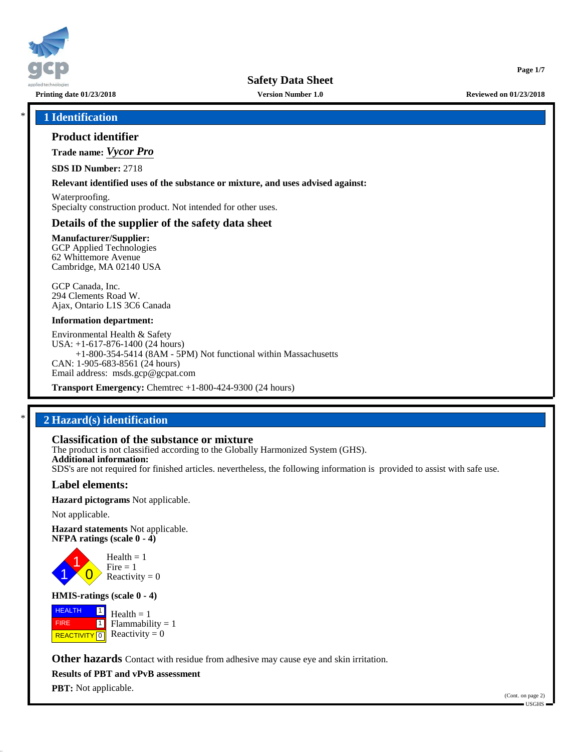

**Safety Data Sheet**

**Printing date 01/23/2018 Version Number 1.0 Reviewed on 01/23/2018**

**Page 1/7**

## \* **1 Identification**

## **Product identifier**

**Trade name:** *Vycor Pro*

**SDS ID Number:** 2718

#### **Relevant identified uses of the substance or mixture, and uses advised against:**

Waterproofing. Specialty construction product. Not intended for other uses.

## **Details of the supplier of the safety data sheet**

**Manufacturer/Supplier:** GCP Applied Technologies 62 Whittemore Avenue Cambridge, MA 02140 USA

GCP Canada, Inc. 294 Clements Road W. Ajax, Ontario L1S 3C6 Canada

#### **Information department:**

Environmental Health & Safety USA: +1-617-876-1400 (24 hours) +1-800-354-5414 (8AM - 5PM) Not functional within Massachusetts CAN: 1-905-683-8561 (24 hours) Email address: msds.gcp@gcpat.com

**Transport Emergency:** Chemtrec +1-800-424-9300 (24 hours)

## \* **2 Hazard(s) identification**

## **Classification of the substance or mixture**

The product is not classified according to the Globally Harmonized System (GHS). **Additional information:** SDS's are not required for finished articles. nevertheless, the following information is provided to assist with safe use.

### **Label elements:**

**Hazard pictograms** Not applicable.

Not applicable.

**Hazard statements** Not applicable. **NFPA ratings (scale 0 - 4)**



#### **HMIS-ratings (scale 0 - 4)**

 HEALTH FIRE **REACTIVITY** 0  $\boxed{1}$  $\blacksquare$  $Health = 1$  $Flammability = 1$ Reactivity  $= 0$ 

**Other hazards** Contact with residue from adhesive may cause eye and skin irritation.

**Results of PBT and vPvB assessment**

**PBT:** Not applicable.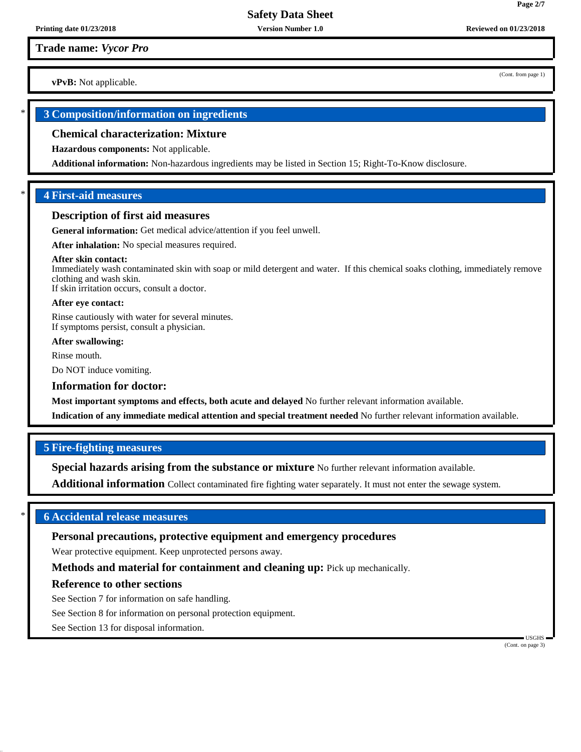**vPvB:** Not applicable.

## \* **3 Composition/information on ingredients**

#### **Chemical characterization: Mixture**

**Hazardous components:** Not applicable.

**Additional information:** Non-hazardous ingredients may be listed in Section 15; Right-To-Know disclosure.

## \* **4 First-aid measures**

#### **Description of first aid measures**

**General information:** Get medical advice/attention if you feel unwell.

**After inhalation:** No special measures required.

#### **After skin contact:**

Immediately wash contaminated skin with soap or mild detergent and water. If this chemical soaks clothing, immediately remove clothing and wash skin. If skin irritation occurs, consult a doctor.

## **After eye contact:**

Rinse cautiously with water for several minutes. If symptoms persist, consult a physician.

**After swallowing:**

Rinse mouth.

Do NOT induce vomiting.

#### **Information for doctor:**

**Most important symptoms and effects, both acute and delayed** No further relevant information available.

**Indication of any immediate medical attention and special treatment needed** No further relevant information available.

### **5 Fire-fighting measures**

**Special hazards arising from the substance or mixture** No further relevant information available.

**Additional information** Collect contaminated fire fighting water separately. It must not enter the sewage system.

## \* **6 Accidental release measures**

## **Personal precautions, protective equipment and emergency procedures**

Wear protective equipment. Keep unprotected persons away.

**Methods and material for containment and cleaning up:** Pick up mechanically.

#### **Reference to other sections**

See Section 7 for information on safe handling.

See Section 8 for information on personal protection equipment.

See Section 13 for disposal information.

 USGHS (Cont. on page 3)

(Cont. from page 1)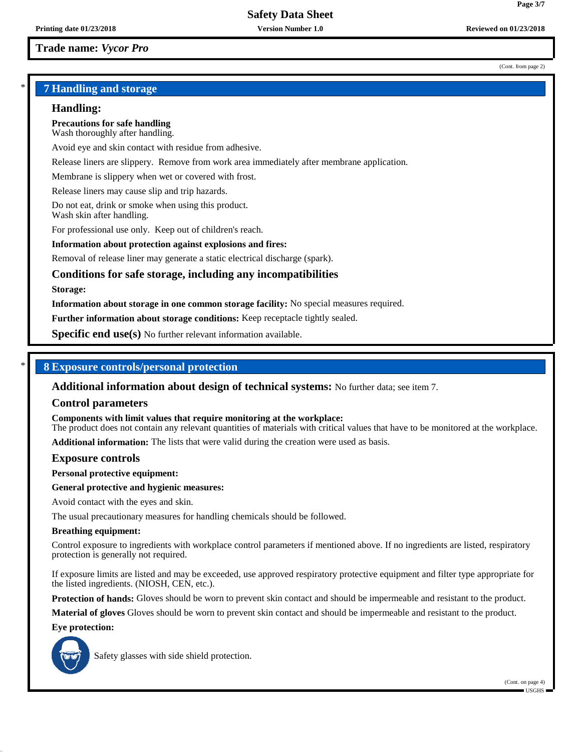#### (Cont. from page 2)

**Page 3/7**

## \* **7 Handling and storage**

#### **Handling:**

**Precautions for safe handling** Wash thoroughly after handling.

Avoid eye and skin contact with residue from adhesive.

Release liners are slippery. Remove from work area immediately after membrane application.

Membrane is slippery when wet or covered with frost.

Release liners may cause slip and trip hazards.

Do not eat, drink or smoke when using this product. Wash skin after handling.

For professional use only. Keep out of children's reach.

#### **Information about protection against explosions and fires:**

Removal of release liner may generate a static electrical discharge (spark).

## **Conditions for safe storage, including any incompatibilities**

#### **Storage:**

**Information about storage in one common storage facility:** No special measures required.

**Further information about storage conditions:** Keep receptacle tightly sealed.

**Specific end use(s)** No further relevant information available.

## \* **8 Exposure controls/personal protection**

**Additional information about design of technical systems:** No further data; see item 7.

#### **Control parameters**

**Components with limit values that require monitoring at the workplace:**

The product does not contain any relevant quantities of materials with critical values that have to be monitored at the workplace.

**Additional information:** The lists that were valid during the creation were used as basis.

#### **Exposure controls**

**Personal protective equipment:**

#### **General protective and hygienic measures:**

Avoid contact with the eyes and skin.

The usual precautionary measures for handling chemicals should be followed.

#### **Breathing equipment:**

Control exposure to ingredients with workplace control parameters if mentioned above. If no ingredients are listed, respiratory protection is generally not required.

If exposure limits are listed and may be exceeded, use approved respiratory protective equipment and filter type appropriate for the listed ingredients. (NIOSH, CEN, etc.).

**Protection of hands:** Gloves should be worn to prevent skin contact and should be impermeable and resistant to the product.

**Material of gloves** Gloves should be worn to prevent skin contact and should be impermeable and resistant to the product.

#### **Eye protection:**



Safety glasses with side shield protection.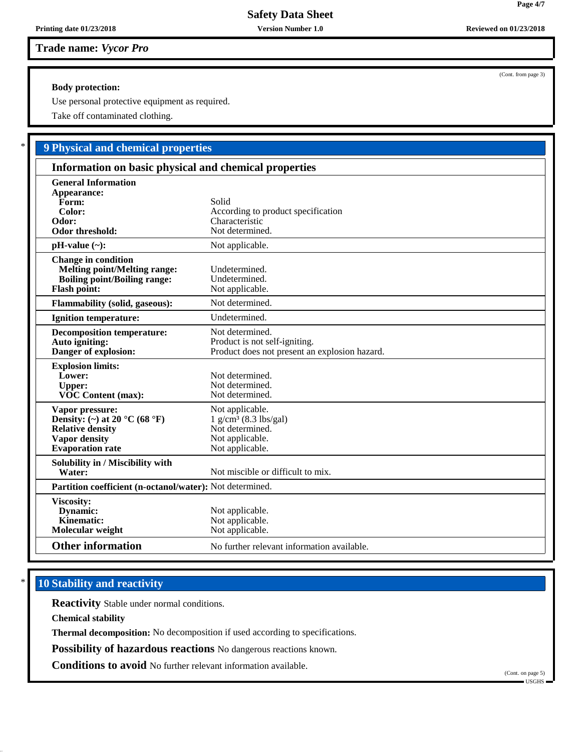## **Body protection:**

Use personal protective equipment as required.

Take off contaminated clothing.

# \* **9 Physical and chemical properties**

| Information on basic physical and chemical properties                                                                                              |                                                                                                                 |  |
|----------------------------------------------------------------------------------------------------------------------------------------------------|-----------------------------------------------------------------------------------------------------------------|--|
| <b>General Information</b><br>Appearance:<br>Form:<br>Color:<br>Odor:<br>Odor threshold:                                                           | Solid<br>According to product specification<br>Characteristic<br>Not determined.                                |  |
| $pH-value (\sim):$                                                                                                                                 | Not applicable.                                                                                                 |  |
| <b>Change in condition</b><br><b>Melting point/Melting range:</b><br><b>Boiling point/Boiling range:</b><br><b>Flash point:</b>                    | Undetermined.<br>Undetermined.<br>Not applicable.                                                               |  |
| <b>Flammability (solid, gaseous):</b>                                                                                                              | Not determined.                                                                                                 |  |
| <b>Ignition temperature:</b>                                                                                                                       | Undetermined.                                                                                                   |  |
| <b>Decomposition temperature:</b><br>Auto igniting:<br>Danger of explosion:                                                                        | Not determined.<br>Product is not self-igniting.<br>Product does not present an explosion hazard.               |  |
| <b>Explosion limits:</b><br>Lower:<br><b>Upper:</b><br><b>VOC Content (max):</b>                                                                   | Not determined.<br>Not determined.<br>Not determined.                                                           |  |
| Vapor pressure:<br>Density: (~) at 20 $^{\circ}$ C (68 $^{\circ}$ F)<br><b>Relative density</b><br><b>Vapor density</b><br><b>Evaporation</b> rate | Not applicable.<br>$1$ g/cm <sup>3</sup> (8.3 lbs/gal)<br>Not determined.<br>Not applicable.<br>Not applicable. |  |
| Solubility in / Miscibility with<br>Water:                                                                                                         | Not miscible or difficult to mix.                                                                               |  |
| Partition coefficient (n-octanol/water): Not determined.                                                                                           |                                                                                                                 |  |
| Viscosity:<br>Dynamic:<br>Kinematic:<br>Molecular weight                                                                                           | Not applicable.<br>Not applicable.<br>Not applicable.                                                           |  |
| <b>Other information</b>                                                                                                                           | No further relevant information available.                                                                      |  |

# **10 Stability and reactivity**

**Reactivity** Stable under normal conditions.

**Chemical stability**

**Thermal decomposition:** No decomposition if used according to specifications.

**Possibility of hazardous reactions** No dangerous reactions known.

**Conditions to avoid** No further relevant information available.

(Cont. on page 5)

(Cont. from page 3)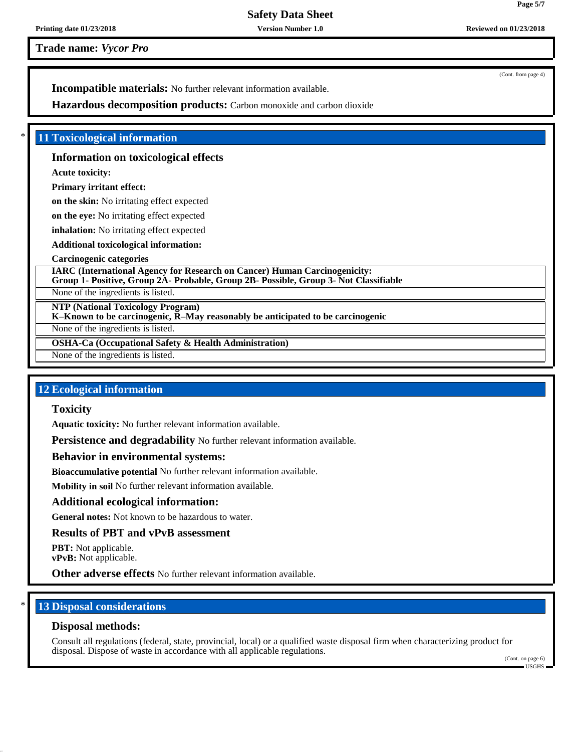**Safety Data Sheet**

**Printing date 01/23/2018 Version Number 1.0 Reviewed on 01/23/2018**

**Trade name:** *Vycor Pro*

(Cont. from page 4)

**Incompatible materials:** No further relevant information available.

**Hazardous decomposition products:** Carbon monoxide and carbon dioxide

## \* **11 Toxicological information**

## **Information on toxicological effects**

**Acute toxicity:**

## **Primary irritant effect:**

**on the skin:** No irritating effect expected

**on the eye:** No irritating effect expected

**inhalation:** No irritating effect expected

**Additional toxicological information:**

## **Carcinogenic categories**

**IARC (International Agency for Research on Cancer) Human Carcinogenicity: Group 1- Positive, Group 2A- Probable, Group 2B- Possible, Group 3- Not Classifiable**

None of the ingredients is listed.

**NTP (National Toxicology Program)**

**K–Known to be carcinogenic, R–May reasonably be anticipated to be carcinogenic**

None of the ingredients is listed.

**OSHA-Ca (Occupational Safety & Health Administration)**

None of the ingredients is listed.

## **12 Ecological information**

## **Toxicity**

**Aquatic toxicity:** No further relevant information available.

**Persistence and degradability** No further relevant information available.

## **Behavior in environmental systems:**

**Bioaccumulative potential** No further relevant information available.

**Mobility in soil** No further relevant information available.

## **Additional ecological information:**

**General notes:** Not known to be hazardous to water.

## **Results of PBT and vPvB assessment**

**PBT:** Not applicable. **vPvB:** Not applicable.

**Other adverse effects** No further relevant information available.

## **13 Disposal considerations**

## **Disposal methods:**

Consult all regulations (federal, state, provincial, local) or a qualified waste disposal firm when characterizing product for disposal. Dispose of waste in accordance with all applicable regulations.

(Cont. on page 6) USGHS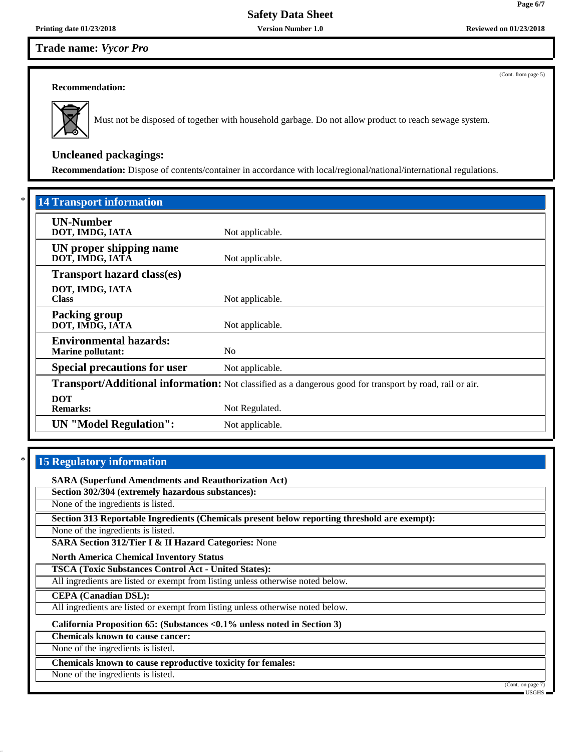(Cont. from page 5)

**Page 6/7**

#### **Recommendation:**



Must not be disposed of together with household garbage. Do not allow product to reach sewage system.

# **Uncleaned packagings:**

**Recommendation:** Dispose of contents/container in accordance with local/regional/national/international regulations.

| <b>14 Transport information</b>                           |                                                                                                          |
|-----------------------------------------------------------|----------------------------------------------------------------------------------------------------------|
| <b>UN-Number</b><br>DOT, IMDG, IATA                       | Not applicable.                                                                                          |
| UN proper shipping name<br>DOT, IMDG, IATA                | Not applicable.                                                                                          |
| <b>Transport hazard class(es)</b>                         |                                                                                                          |
| DOT, IMDG, IATA<br><b>Class</b>                           | Not applicable.                                                                                          |
| Packing group<br>DOT, IMDG, IATA                          | Not applicable.                                                                                          |
| <b>Environmental hazards:</b><br><b>Marine pollutant:</b> | N <sub>0</sub>                                                                                           |
| <b>Special precautions for user</b>                       | Not applicable.                                                                                          |
|                                                           | Transport/Additional information: Not classified as a dangerous good for transport by road, rail or air. |
| <b>DOT</b><br><b>Remarks:</b>                             | Not Regulated.                                                                                           |
| <b>UN</b> "Model Regulation":                             | Not applicable.                                                                                          |

## **15 Regulatory information**

**SARA (Superfund Amendments and Reauthorization Act)**

**Section 302/304 (extremely hazardous substances):**

None of the ingredients is listed.

**Section 313 Reportable Ingredients (Chemicals present below reporting threshold are exempt):**

None of the ingredients is listed.

**SARA Section 312/Tier I & II Hazard Categories:** None

**North America Chemical Inventory Status**

**TSCA (Toxic Substances Control Act - United States):**

All ingredients are listed or exempt from listing unless otherwise noted below.

**CEPA (Canadian DSL):**

All ingredients are listed or exempt from listing unless otherwise noted below.

**California Proposition 65: (Substances <0.1% unless noted in Section 3)**

**Chemicals known to cause cancer:**

None of the ingredients is listed.

**Chemicals known to cause reproductive toxicity for females:**

None of the ingredients is listed.

(Cont. on page 7)